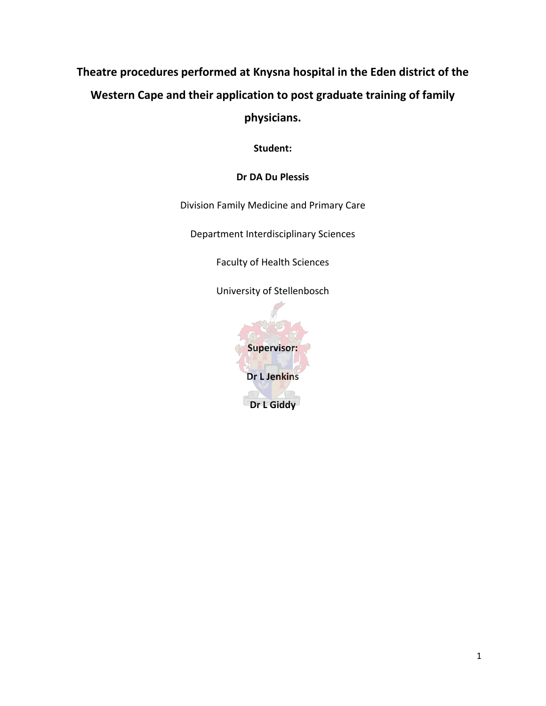# **Theatre procedures performed at Knysna hospital in the Eden district of the Western Cape and their application to post graduate training of family physicians.**

**Student:** 

# **Dr DA Du Plessis**

Division Family Medicine and Primary Care

Department Interdisciplinary Sciences

Faculty of Health Sciences

University of Stellenbosch

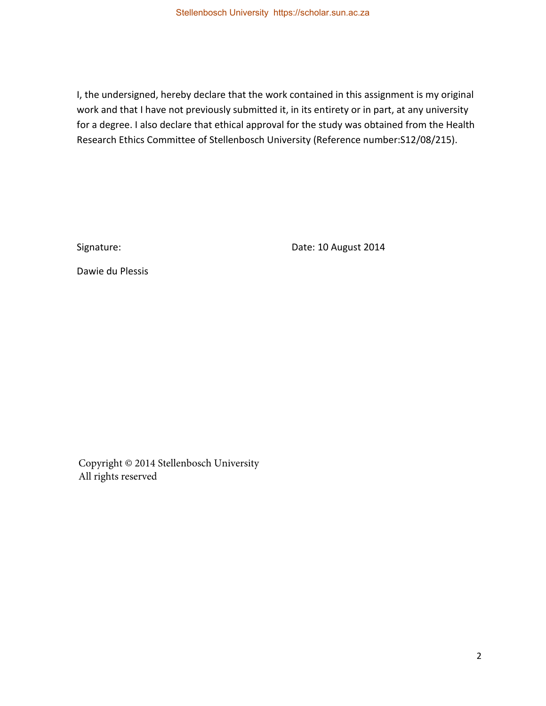I, the undersigned, hereby declare that the work contained in this assignment is my original work and that I have not previously submitted it, in its entirety or in part, at any university for a degree. I also declare that ethical approval for the study was obtained from the Health Research Ethics Committee of Stellenbosch University (Reference number:S12/08/215).

Signature: Date: 10 August 2014

Dawie du Plessis

Copyright © 2014 Stellenbosch University All rights reserved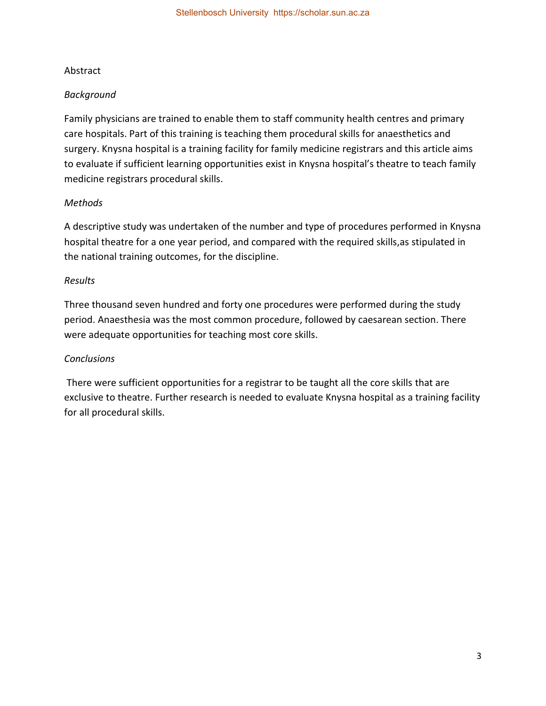## Abstract

## *Background*

Family physicians are trained to enable them to staff community health centres and primary care hospitals. Part of this training is teaching them procedural skills for anaesthetics and surgery. Knysna hospital is a training facility for family medicine registrars and this article aims to evaluate if sufficient learning opportunities exist in Knysna hospital's theatre to teach family medicine registrars procedural skills.

## *Methods*

A descriptive study was undertaken of the number and type of procedures performed in Knysna hospital theatre for a one year period, and compared with the required skills,as stipulated in the national training outcomes, for the discipline.

#### *Results*

Three thousand seven hundred and forty one procedures were performed during the study period. Anaesthesia was the most common procedure, followed by caesarean section. There were adequate opportunities for teaching most core skills.

### *Conclusions*

 There were sufficient opportunities for a registrar to be taught all the core skills that are exclusive to theatre. Further research is needed to evaluate Knysna hospital as a training facility for all procedural skills.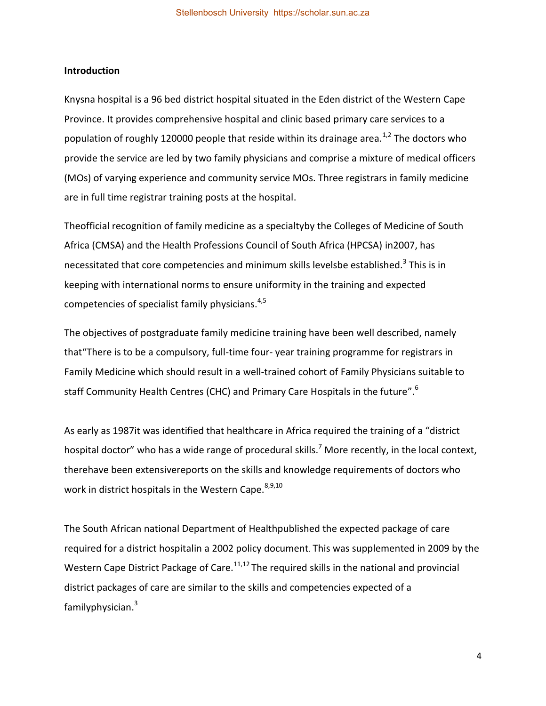#### **Introduction**

Knysna hospital is a 96 bed district hospital situated in the Eden district of the Western Cape Province. It provides comprehensive hospital and clinic based primary care services to a population of roughly 120000 people that reside within its drainage area.<sup>1,2</sup> The doctors who provide the service are led by two family physicians and comprise a mixture of medical officers (MOs) of varying experience and community service MOs. Three registrars in family medicine are in full time registrar training posts at the hospital.

Theofficial recognition of family medicine as a specialtyby the Colleges of Medicine of South Africa (CMSA) and the Health Professions Council of South Africa (HPCSA) in2007, has necessitated that core competencies and minimum skills levelsbe established.<sup>3</sup> This is in keeping with international norms to ensure uniformity in the training and expected competencies of specialist family physicians. $4,5$ 

The objectives of postgraduate family medicine training have been well described, namely that"There is to be a compulsory, full-time four- year training programme for registrars in Family Medicine which should result in a well-trained cohort of Family Physicians suitable to staff Community Health Centres (CHC) and Primary Care Hospitals in the future".<sup>6</sup>

As early as 1987it was identified that healthcare in Africa required the training of a "district hospital doctor" who has a wide range of procedural skills.<sup>7</sup> More recently, in the local context, therehave been extensivereports on the skills and knowledge requirements of doctors who work in district hospitals in the Western Cape.  $8,9,10$ 

The South African national Department of Healthpublished the expected package of care required for a district hospitalin a 2002 policy document. This was supplemented in 2009 by the Western Cape District Package of Care.<sup>11,12</sup> The required skills in the national and provincial district packages of care are similar to the skills and competencies expected of a familyphysician.<sup>3</sup>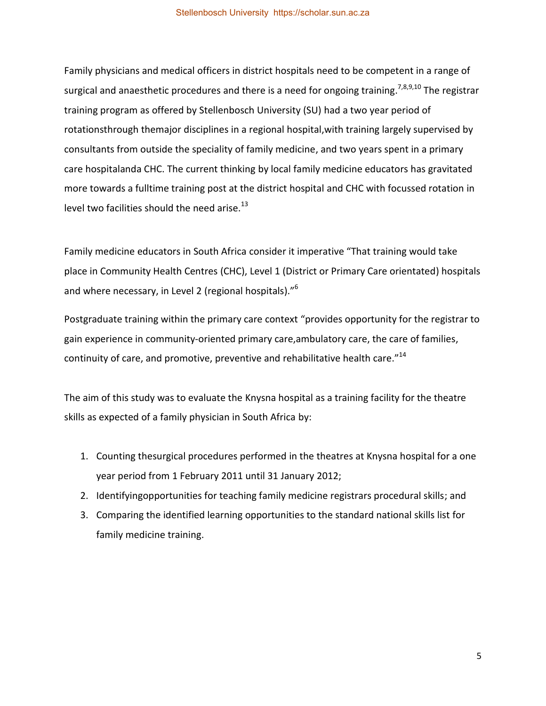Family physicians and medical officers in district hospitals need to be competent in a range of surgical and anaesthetic procedures and there is a need for ongoing training.<sup>7,8,9,10</sup> The registrar training program as offered by Stellenbosch University (SU) had a two year period of rotationsthrough themajor disciplines in a regional hospital,with training largely supervised by consultants from outside the speciality of family medicine, and two years spent in a primary care hospitalanda CHC. The current thinking by local family medicine educators has gravitated more towards a fulltime training post at the district hospital and CHC with focussed rotation in level two facilities should the need arise.<sup>13</sup>

Family medicine educators in South Africa consider it imperative "That training would take place in Community Health Centres (CHC), Level 1 (District or Primary Care orientated) hospitals and where necessary, in Level 2 (regional hospitals)."<sup>6</sup>

Postgraduate training within the primary care context "provides opportunity for the registrar to gain experience in community-oriented primary care,ambulatory care, the care of families, continuity of care, and promotive, preventive and rehabilitative health care." $^{14}$ 

The aim of this study was to evaluate the Knysna hospital as a training facility for the theatre skills as expected of a family physician in South Africa by:

- 1. Counting thesurgical procedures performed in the theatres at Knysna hospital for a one year period from 1 February 2011 until 31 January 2012;
- 2. Identifyingopportunities for teaching family medicine registrars procedural skills; and
- 3. Comparing the identified learning opportunities to the standard national skills list for family medicine training.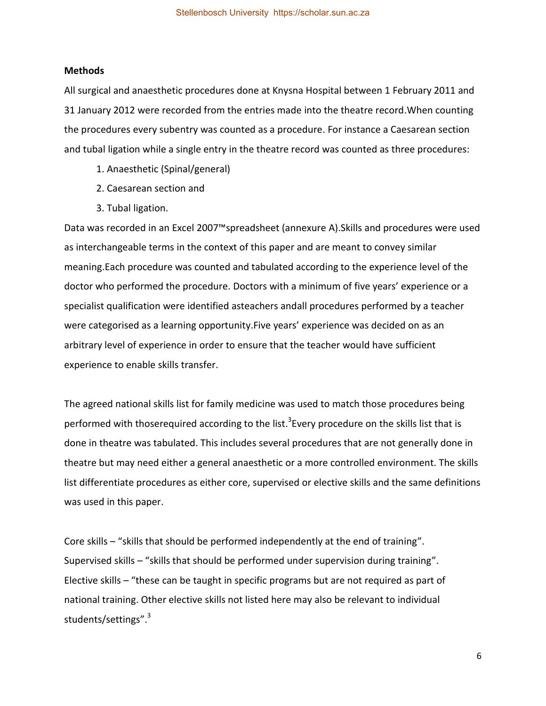#### **Methods**

All surgical and anaesthetic procedures done at Knysna Hospital between 1 February 2011 and 31 January 2012 were recorded from the entries made into the theatre record.When counting the procedures every subentry was counted as a procedure. For instance a Caesarean section and tubal ligation while a single entry in the theatre record was counted as three procedures:

- 1. Anaesthetic (Spinal/general)
- 2. Caesarean section and
- 3. Tubal ligation.

Data was recorded in an Excel 2007™spreadsheet (annexure A).Skills and procedures were used as interchangeable terms in the context of this paper and are meant to convey similar meaning.Each procedure was counted and tabulated according to the experience level of the doctor who performed the procedure. Doctors with a minimum of five years' experience or a specialist qualification were identified asteachers andall procedures performed by a teacher were categorised as a learning opportunity.Five years' experience was decided on as an arbitrary level of experience in order to ensure that the teacher would have sufficient experience to enable skills transfer.

The agreed national skills list for family medicine was used to match those procedures being performed with thoserequired according to the list.<sup>3</sup>Every procedure on the skills list that is done in theatre was tabulated. This includes several procedures that are not generally done in theatre but may need either a general anaesthetic or a more controlled environment. The skills list differentiate procedures as either core, supervised or elective skills and the same definitions was used in this paper.

Core skills – "skills that should be performed independently at the end of training". Supervised skills – "skills that should be performed under supervision during training". Elective skills – "these can be taught in specific programs but are not required as part of national training. Other elective skills not listed here may also be relevant to individual students/settings".<sup>3</sup>

6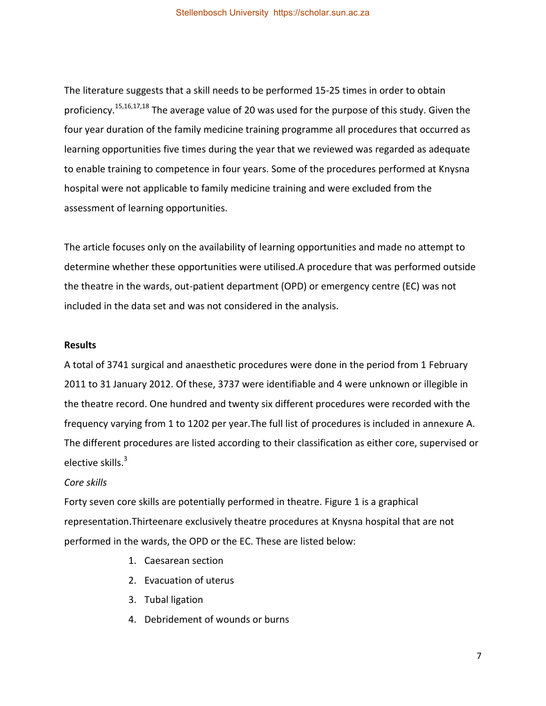The literature suggests that a skill needs to be performed 15-25 times in order to obtain proficiency.<sup>15,16,17,18</sup> The average value of 20 was used for the purpose of this study. Given the four year duration of the family medicine training programme all procedures that occurred as learning opportunities five times during the year that we reviewed was regarded as adequate to enable training to competence in four years. Some of the procedures performed at Knysna hospital were not applicable to family medicine training and were excluded from the assessment of learning opportunities.

The article focuses only on the availability of learning opportunities and made no attempt to determine whether these opportunities were utilised.A procedure that was performed outside the theatre in the wards, out-patient department (OPD) or emergency centre (EC) was not included in the data set and was not considered in the analysis.

#### **Results**

A total of 3741 surgical and anaesthetic procedures were done in the period from 1 February 2011 to 31 January 2012. Of these, 3737 were identifiable and 4 were unknown or illegible in the theatre record. One hundred and twenty six different procedures were recorded with the frequency varying from 1 to 1202 per year.The full list of procedures is included in annexure A. The different procedures are listed according to their classification as either core, supervised or elective skills.<sup>3</sup>

#### *Core skills*

Forty seven core skills are potentially performed in theatre. Figure 1 is a graphical representation.Thirteenare exclusively theatre procedures at Knysna hospital that are not performed in the wards, the OPD or the EC. These are listed below:

- 1. Caesarean section
- 2. Evacuation of uterus
- 3. Tubal ligation
- 4. Debridement of wounds or burns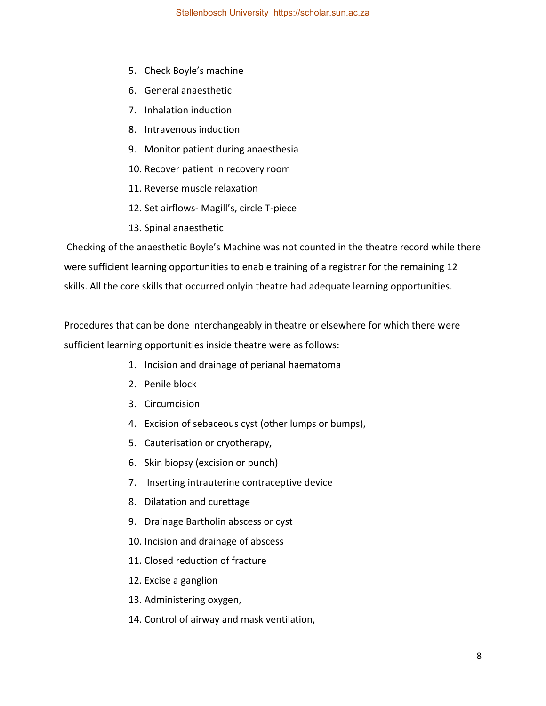- 5. Check Boyle's machine
- 6. General anaesthetic
- 7. Inhalation induction
- 8. Intravenous induction
- 9. Monitor patient during anaesthesia
- 10. Recover patient in recovery room
- 11. Reverse muscle relaxation
- 12. Set airflows- Magill's, circle T-piece
- 13. Spinal anaesthetic

 Checking of the anaesthetic Boyle's Machine was not counted in the theatre record while there were sufficient learning opportunities to enable training of a registrar for the remaining 12 skills. All the core skills that occurred onlyin theatre had adequate learning opportunities.

Procedures that can be done interchangeably in theatre or elsewhere for which there were sufficient learning opportunities inside theatre were as follows:

- 1. Incision and drainage of perianal haematoma
- 2. Penile block
- 3. Circumcision
- 4. Excision of sebaceous cyst (other lumps or bumps),
- 5. Cauterisation or cryotherapy,
- 6. Skin biopsy (excision or punch)
- 7. Inserting intrauterine contraceptive device
- 8. Dilatation and curettage
- 9. Drainage Bartholin abscess or cyst
- 10. Incision and drainage of abscess
- 11. Closed reduction of fracture
- 12. Excise a ganglion
- 13. Administering oxygen,
- 14. Control of airway and mask ventilation,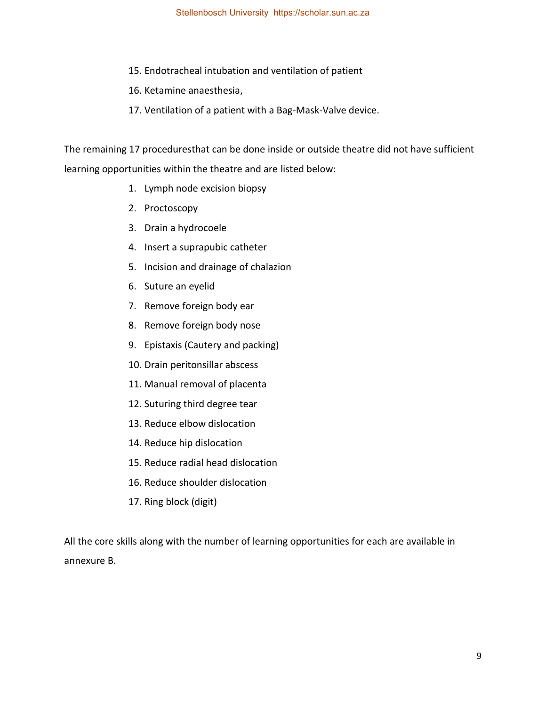- 15. Endotracheal intubation and ventilation of patient
- 16. Ketamine anaesthesia,
- 17. Ventilation of a patient with a Bag-Mask-Valve device.

The remaining 17 proceduresthat can be done inside or outside theatre did not have sufficient learning opportunities within the theatre and are listed below:

- 1. Lymph node excision biopsy
- 2. Proctoscopy
- 3. Drain a hydrocoele
- 4. Insert a suprapubic catheter
- 5. Incision and drainage of chalazion
- 6. Suture an eyelid
- 7. Remove foreign body ear
- 8. Remove foreign body nose
- 9. Epistaxis (Cautery and packing)
- 10. Drain peritonsillar abscess
- 11. Manual removal of placenta
- 12. Suturing third degree tear
- 13. Reduce elbow dislocation
- 14. Reduce hip dislocation
- 15. Reduce radial head dislocation
- 16. Reduce shoulder dislocation
- 17. Ring block (digit)

All the core skills along with the number of learning opportunities for each are available in annexure B.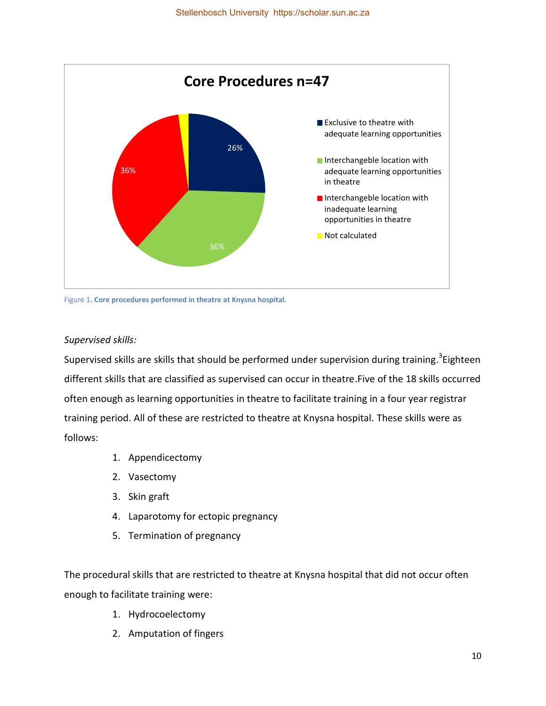

Figure 1**. Core procedures performed in theatre at Knysna hospital.**

## *Supervised skills:*

Supervised skills are skills that should be performed under supervision during training.<sup>3</sup>Eighteen different skills that are classified as supervised can occur in theatre.Five of the 18 skills occurred often enough as learning opportunities in theatre to facilitate training in a four year registrar training period. All of these are restricted to theatre at Knysna hospital. These skills were as follows:

- 1. Appendicectomy
- 2. Vasectomy
- 3. Skin graft
- 4. Laparotomy for ectopic pregnancy
- 5. Termination of pregnancy

The procedural skills that are restricted to theatre at Knysna hospital that did not occur often enough to facilitate training were:

- 1. Hydrocoelectomy
- 2. Amputation of fingers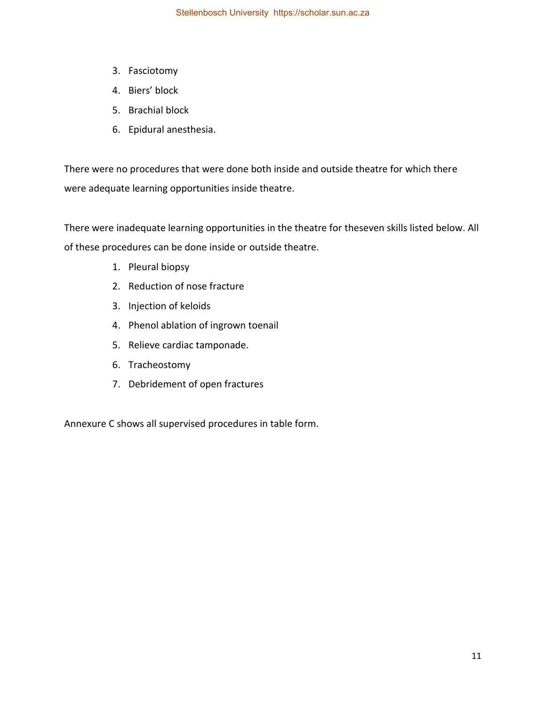- 3. Fasciotomy
- 4. Biers' block
- 5. Brachial block
- 6. Epidural anesthesia.

There were no procedures that were done both inside and outside theatre for which there were adequate learning opportunities inside theatre.

There were inadequate learning opportunities in the theatre for theseven skills listed below. All of these procedures can be done inside or outside theatre.

- 1. Pleural biopsy
- 2. Reduction of nose fracture
- 3. Injection of keloids
- 4. Phenol ablation of ingrown toenail
- 5. Relieve cardiac tamponade.
- 6. Tracheostomy
- 7. Debridement of open fractures

Annexure C shows all supervised procedures in table form.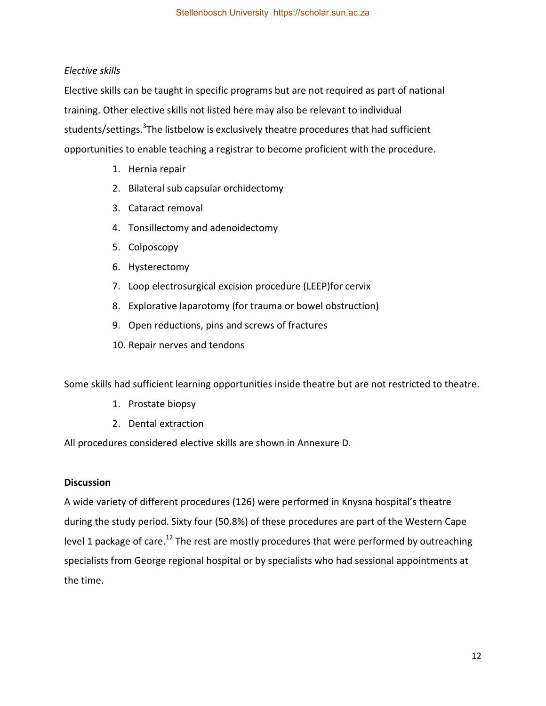## *Elective skills*

Elective skills can be taught in specific programs but are not required as part of national training. Other elective skills not listed here may also be relevant to individual students/settings.<sup>3</sup>The listbelow is exclusively theatre procedures that had sufficient opportunities to enable teaching a registrar to become proficient with the procedure.

- 1. Hernia repair
- 2. Bilateral sub capsular orchidectomy
- 3. Cataract removal
- 4. Tonsillectomy and adenoidectomy
- 5. Colposcopy
- 6. Hysterectomy
- 7. Loop electrosurgical excision procedure (LEEP)for cervix
- 8. Explorative laparotomy (for trauma or bowel obstruction)
- 9. Open reductions, pins and screws of fractures
- 10. Repair nerves and tendons

Some skills had sufficient learning opportunities inside theatre but are not restricted to theatre.

- 1. Prostate biopsy
- 2. Dental extraction

All procedures considered elective skills are shown in Annexure D.

## **Discussion**

A wide variety of different procedures (126) were performed in Knysna hospital's theatre during the study period. Sixty four (50.8%) of these procedures are part of the Western Cape level 1 package of care.<sup>12</sup> The rest are mostly procedures that were performed by outreaching specialists from George regional hospital or by specialists who had sessional appointments at the time.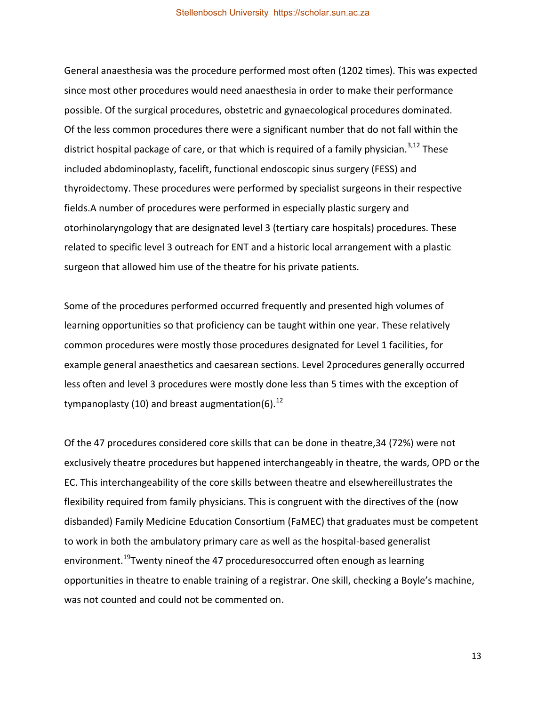General anaesthesia was the procedure performed most often (1202 times). This was expected since most other procedures would need anaesthesia in order to make their performance possible. Of the surgical procedures, obstetric and gynaecological procedures dominated. Of the less common procedures there were a significant number that do not fall within the district hospital package of care, or that which is required of a family physician.<sup>3,12</sup> These included abdominoplasty, facelift, functional endoscopic sinus surgery (FESS) and thyroidectomy. These procedures were performed by specialist surgeons in their respective fields.A number of procedures were performed in especially plastic surgery and otorhinolaryngology that are designated level 3 (tertiary care hospitals) procedures. These related to specific level 3 outreach for ENT and a historic local arrangement with a plastic surgeon that allowed him use of the theatre for his private patients.

Some of the procedures performed occurred frequently and presented high volumes of learning opportunities so that proficiency can be taught within one year. These relatively common procedures were mostly those procedures designated for Level 1 facilities, for example general anaesthetics and caesarean sections. Level 2procedures generally occurred less often and level 3 procedures were mostly done less than 5 times with the exception of tympanoplasty (10) and breast augmentation(6). $^{12}$ 

Of the 47 procedures considered core skills that can be done in theatre,34 (72%) were not exclusively theatre procedures but happened interchangeably in theatre, the wards, OPD or the EC. This interchangeability of the core skills between theatre and elsewhereillustrates the flexibility required from family physicians. This is congruent with the directives of the (now disbanded) Family Medicine Education Consortium (FaMEC) that graduates must be competent to work in both the ambulatory primary care as well as the hospital-based generalist environment.<sup>19</sup>Twenty nineof the 47 proceduresoccurred often enough as learning opportunities in theatre to enable training of a registrar. One skill, checking a Boyle's machine, was not counted and could not be commented on.

13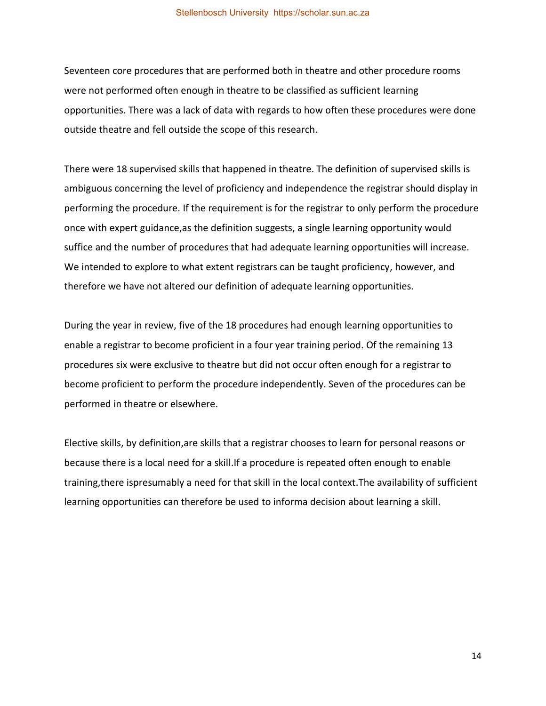Seventeen core procedures that are performed both in theatre and other procedure rooms were not performed often enough in theatre to be classified as sufficient learning opportunities. There was a lack of data with regards to how often these procedures were done outside theatre and fell outside the scope of this research.

There were 18 supervised skills that happened in theatre. The definition of supervised skills is ambiguous concerning the level of proficiency and independence the registrar should display in performing the procedure. If the requirement is for the registrar to only perform the procedure once with expert guidance,as the definition suggests, a single learning opportunity would suffice and the number of procedures that had adequate learning opportunities will increase. We intended to explore to what extent registrars can be taught proficiency, however, and therefore we have not altered our definition of adequate learning opportunities.

During the year in review, five of the 18 procedures had enough learning opportunities to enable a registrar to become proficient in a four year training period. Of the remaining 13 procedures six were exclusive to theatre but did not occur often enough for a registrar to become proficient to perform the procedure independently. Seven of the procedures can be performed in theatre or elsewhere.

Elective skills, by definition,are skills that a registrar chooses to learn for personal reasons or because there is a local need for a skill.If a procedure is repeated often enough to enable training,there ispresumably a need for that skill in the local context.The availability of sufficient learning opportunities can therefore be used to informa decision about learning a skill.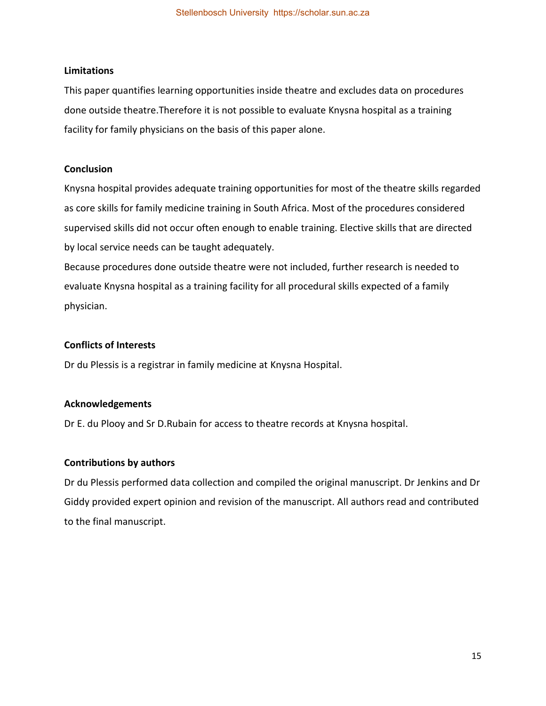### **Limitations**

This paper quantifies learning opportunities inside theatre and excludes data on procedures done outside theatre.Therefore it is not possible to evaluate Knysna hospital as a training facility for family physicians on the basis of this paper alone.

## **Conclusion**

Knysna hospital provides adequate training opportunities for most of the theatre skills regarded as core skills for family medicine training in South Africa. Most of the procedures considered supervised skills did not occur often enough to enable training. Elective skills that are directed by local service needs can be taught adequately.

Because procedures done outside theatre were not included, further research is needed to evaluate Knysna hospital as a training facility for all procedural skills expected of a family physician.

## **Conflicts of Interests**

Dr du Plessis is a registrar in family medicine at Knysna Hospital.

## **Acknowledgements**

Dr E. du Plooy and Sr D.Rubain for access to theatre records at Knysna hospital.

## **Contributions by authors**

Dr du Plessis performed data collection and compiled the original manuscript. Dr Jenkins and Dr Giddy provided expert opinion and revision of the manuscript. All authors read and contributed to the final manuscript.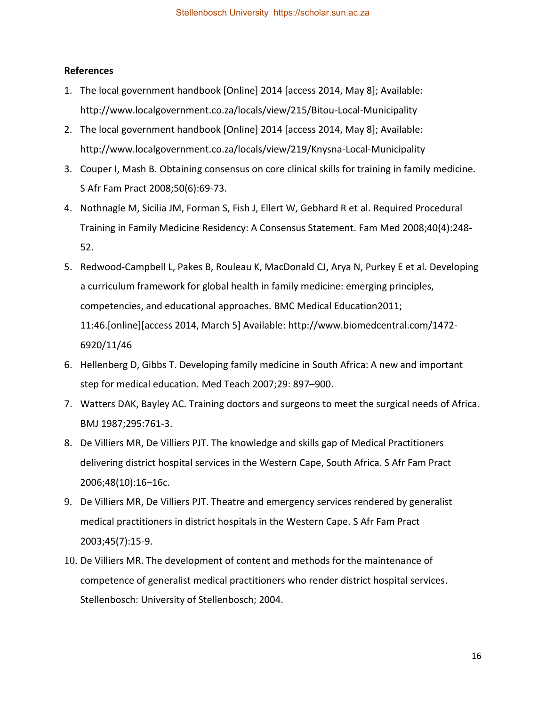### **References**

- 1. The local government handbook [Online] 2014 [access 2014, May 8]; Available: http://www.localgovernment.co.za/locals/view/215/Bitou-Local-Municipality
- 2. The local government handbook [Online] 2014 [access 2014, May 8]; Available: http://www.localgovernment.co.za/locals/view/219/Knysna-Local-Municipality
- 3. Couper I, Mash B. Obtaining consensus on core clinical skills for training in family medicine. S Afr Fam Pract 2008;50(6):69-73.
- 4. Nothnagle M, Sicilia JM, Forman S, Fish J, Ellert W, Gebhard R et al. Required Procedural Training in Family Medicine Residency: A Consensus Statement. Fam Med 2008;40(4):248- 52.
- 5. Redwood-Campbell L, Pakes B, Rouleau K, MacDonald CJ, Arya N, Purkey E et al. Developing a curriculum framework for global health in family medicine: emerging principles, competencies, and educational approaches. BMC Medical Education2011; 11:46.[online][access 2014, March 5] Available: http://www.biomedcentral.com/1472- 6920/11/46
- 6. Hellenberg D, Gibbs T. Developing family medicine in South Africa: A new and important step for medical education. Med Teach 2007;29: 897–900.
- 7. Watters DAK, Bayley AC. Training doctors and surgeons to meet the surgical needs of Africa. BMJ 1987;295:761-3.
- 8. De Villiers MR, De Villiers PJT. The knowledge and skills gap of Medical Practitioners delivering district hospital services in the Western Cape, South Africa. S Afr Fam Pract 2006;48(10):16–16c.
- 9. De Villiers MR, De Villiers PJT. Theatre and emergency services rendered by generalist medical practitioners in district hospitals in the Western Cape. S Afr Fam Pract 2003;45(7):15-9.
- 10. De Villiers MR. The development of content and methods for the maintenance of competence of generalist medical practitioners who render district hospital services. Stellenbosch: University of Stellenbosch; 2004.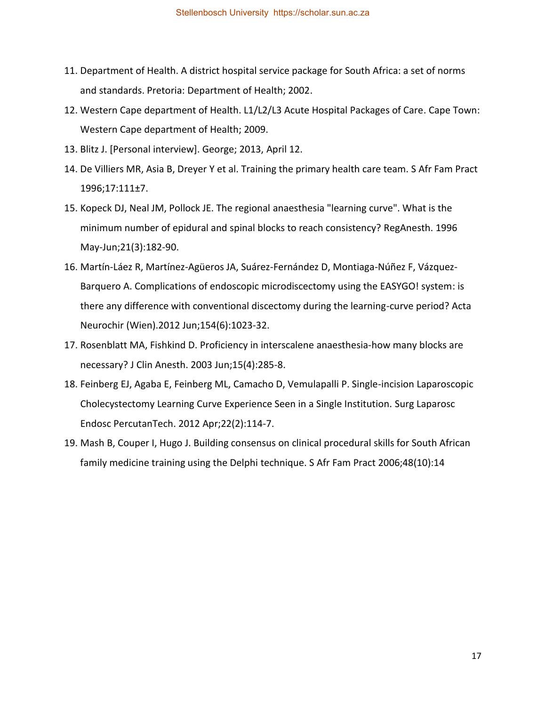- 11. Department of Health. A district hospital service package for South Africa: a set of norms and standards. Pretoria: Department of Health; 2002.
- 12. Western Cape department of Health. L1/L2/L3 Acute Hospital Packages of Care. Cape Town: Western Cape department of Health; 2009.
- 13. Blitz J. [Personal interview]. George; 2013, April 12.
- 14. De Villiers MR, Asia B, Dreyer Y et al. Training the primary health care team. S Afr Fam Pract 1996;17:111±7.
- 15. Kopeck DJ, Neal JM, Pollock JE. The regional anaesthesia "learning curve". What is the minimum number of epidural and spinal blocks to reach consistency? RegAnesth. 1996 May-Jun;21(3):182-90.
- 16. Martín-Láez R, Martínez-Agüeros JA, Suárez-Fernández D, Montiaga-Núñez F, Vázquez-Barquero A. Complications of endoscopic microdiscectomy using the EASYGO! system: is there any difference with conventional discectomy during the learning-curve period? Acta Neurochir (Wien).2012 Jun;154(6):1023-32.
- 17. Rosenblatt MA, Fishkind D. Proficiency in interscalene anaesthesia-how many blocks are necessary? J Clin Anesth. 2003 Jun;15(4):285-8.
- 18. Feinberg EJ, Agaba E, Feinberg ML, Camacho D, Vemulapalli P. Single-incision Laparoscopic Cholecystectomy Learning Curve Experience Seen in a Single Institution. Surg Laparosc Endosc PercutanTech. 2012 Apr;22(2):114-7.
- 19. Mash B, Couper I, Hugo J. Building consensus on clinical procedural skills for South African family medicine training using the Delphi technique. S Afr Fam Pract 2006;48(10):14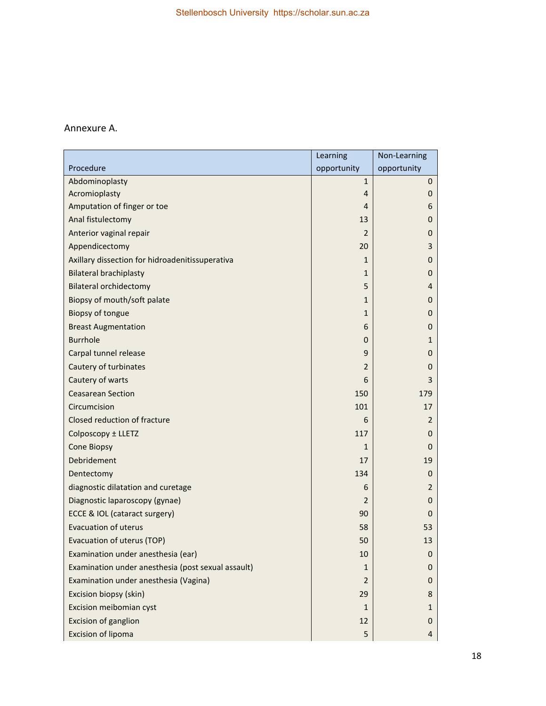## Annexure A.

|                                                    | Learning       | Non-Learning |
|----------------------------------------------------|----------------|--------------|
| Procedure                                          | opportunity    | opportunity  |
| Abdominoplasty                                     | $1\,$          | 0            |
| Acromioplasty                                      | $\overline{4}$ | 0            |
| Amputation of finger or toe                        | 4              | 6            |
| Anal fistulectomy                                  | 13             | 0            |
| Anterior vaginal repair                            | 2              | 0            |
| Appendicectomy                                     | 20             | 3            |
| Axillary dissection for hidroadenitissuperativa    | 1              | 0            |
| <b>Bilateral brachiplasty</b>                      | 1              | 0            |
| <b>Bilateral orchidectomy</b>                      | 5              | 4            |
| Biopsy of mouth/soft palate                        | 1              | 0            |
| Biopsy of tongue                                   | 1              | 0            |
| <b>Breast Augmentation</b>                         | 6              | 0            |
| <b>Burrhole</b>                                    | $\mathbf 0$    | 1            |
| Carpal tunnel release                              | 9              | 0            |
| Cautery of turbinates                              | 2              | 0            |
| Cautery of warts                                   | 6              | 3            |
| <b>Ceasarean Section</b>                           | 150            | 179          |
| Circumcision                                       | 101            | 17           |
| Closed reduction of fracture                       | 6              | 2            |
| Colposcopy ± LLETZ                                 | 117            | 0            |
| <b>Cone Biopsy</b>                                 | $\mathbf{1}$   | 0            |
| Debridement                                        | 17             | 19           |
| Dentectomy                                         | 134            | 0            |
| diagnostic dilatation and curetage                 | 6              | 2            |
| Diagnostic laparoscopy (gynae)                     | 2              | 0            |
| ECCE & IOL (cataract surgery)                      | 90             | 0            |
| <b>Evacuation of uterus</b>                        | 58             | 53           |
| Evacuation of uterus (TOP)                         | 50             | 13           |
| Examination under anesthesia (ear)                 | 10             | 0            |
| Examination under anesthesia (post sexual assault) | 1              | 0            |
| Examination under anesthesia (Vagina)              | $\overline{2}$ | 0            |
| Excision biopsy (skin)                             | 29             | 8            |
| Excision meibomian cyst                            | 1              | 1            |
| <b>Excision of ganglion</b>                        | 12             | 0            |
| <b>Excision of lipoma</b>                          | 5              | 4            |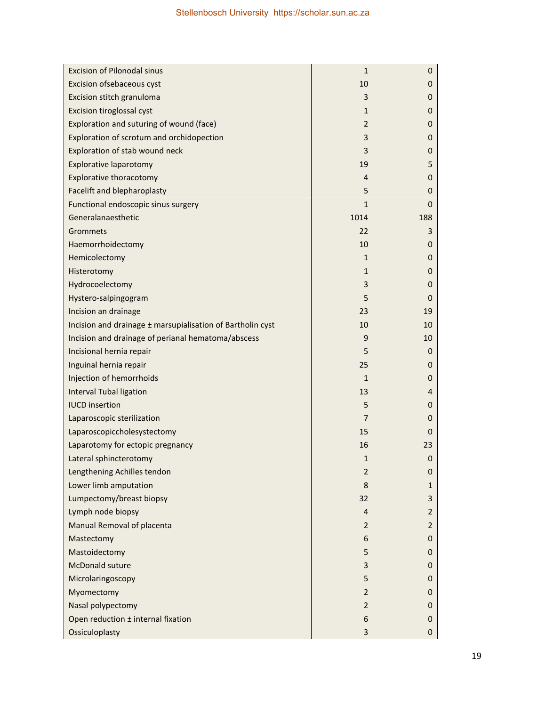| <b>Excision of Pilonodal sinus</b>                         | 1              | 0              |
|------------------------------------------------------------|----------------|----------------|
| Excision ofsebaceous cyst                                  | 10             | 0              |
| Excision stitch granuloma                                  | 3              | 0              |
| Excision tiroglossal cyst                                  | 1              | 0              |
| Exploration and suturing of wound (face)                   | 2              | 0              |
| Exploration of scrotum and orchidopection                  | 3              | 0              |
| Exploration of stab wound neck                             | 3              | 0              |
| <b>Explorative laparotomy</b>                              | 19             | 5              |
| <b>Explorative thoracotomy</b>                             | 4              | 0              |
| Facelift and blepharoplasty                                | 5              | 0              |
| Functional endoscopic sinus surgery                        | 1              | 0              |
| Generalanaesthetic                                         | 1014           | 188            |
| Grommets                                                   | 22             | 3              |
| Haemorrhoidectomy                                          | 10             | 0              |
| Hemicolectomy                                              | 1              | 0              |
| Histerotomy                                                | 1              | 0              |
| Hydrocoelectomy                                            | 3              | 0              |
| Hystero-salpingogram                                       | 5              | 0              |
| Incision an drainage                                       | 23             | 19             |
| Incision and drainage ± marsupialisation of Bartholin cyst | 10             | 10             |
| Incision and drainage of perianal hematoma/abscess         | 9              | 10             |
| Incisional hernia repair                                   | 5              | 0              |
| Inguinal hernia repair                                     | 25             | 0              |
| Injection of hemorrhoids                                   | 1              | 0              |
| <b>Interval Tubal ligation</b>                             | 13             | 4              |
| <b>IUCD</b> insertion                                      | 5              | 0              |
| Laparoscopic sterilization                                 | 7              | 0              |
| Laparoscopiccholesystectomy                                | 15             | 0              |
| Laparotomy for ectopic pregnancy                           | 16             | 23             |
| Lateral sphincterotomy                                     | $\mathbf{1}$   | $\mathbf 0$    |
| Lengthening Achilles tendon                                | $\overline{2}$ | 0              |
| Lower limb amputation                                      | 8              | 1              |
| Lumpectomy/breast biopsy                                   | 32             | 3              |
| Lymph node biopsy                                          | 4              | $\overline{2}$ |
| Manual Removal of placenta                                 | 2              | $\overline{2}$ |
| Mastectomy                                                 | 6              | 0              |
| Mastoidectomy                                              | 5              | $\mathbf 0$    |
| <b>McDonald suture</b>                                     | 3              | 0              |
| Microlaringoscopy                                          | 5              | 0              |
| Myomectomy                                                 | $\overline{2}$ | 0              |
| Nasal polypectomy                                          | $\overline{2}$ | $\mathbf 0$    |
| Open reduction ± internal fixation                         | 6              | 0              |
| Ossiculoplasty                                             | 3              | $\mathbf{0}$   |

 $\mathbb{R}^2$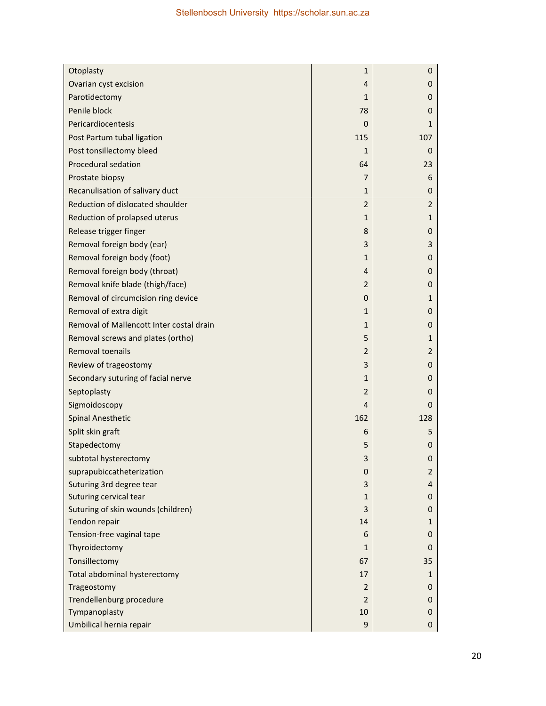| Otoplasty                                | 1              | 0              |
|------------------------------------------|----------------|----------------|
| Ovarian cyst excision                    | 4              | 0              |
| Parotidectomy                            | 1              | 0              |
| Penile block                             | 78             | 0              |
| Pericardiocentesis                       | $\mathbf{0}$   | 1              |
| Post Partum tubal ligation               | 115            | 107            |
| Post tonsillectomy bleed                 | $\mathbf 1$    | 0              |
| <b>Procedural sedation</b>               | 64             | 23             |
| Prostate biopsy                          | 7              | 6              |
| Recanulisation of salivary duct          | 1              | 0              |
| Reduction of dislocated shoulder         | $\overline{2}$ | $\overline{2}$ |
| Reduction of prolapsed uterus            | 1              | 1              |
| Release trigger finger                   | 8              | 0              |
| Removal foreign body (ear)               | 3              | 3              |
| Removal foreign body (foot)              | 1              | 0              |
| Removal foreign body (throat)            | 4              | 0              |
| Removal knife blade (thigh/face)         | $\overline{2}$ | 0              |
| Removal of circumcision ring device      | 0              | 1              |
| Removal of extra digit                   | 1              | 0              |
| Removal of Mallencott Inter costal drain | 1              | 0              |
| Removal screws and plates (ortho)        | 5              | 1              |
| Removal toenails                         | 2              | $\overline{2}$ |
| Review of trageostomy                    | 3              | $\mathbf 0$    |
| Secondary suturing of facial nerve       | 1              | 0              |
| Septoplasty                              | 2              | 0              |
| Sigmoidoscopy                            | 4              | 0              |
| <b>Spinal Anesthetic</b>                 | 162            | 128            |
| Split skin graft                         | 6              | 5              |
| Stapedectomy                             | 5              | 0              |
| subtotal hysterectomy                    | 3              | $\mathbf 0$    |
| suprapubiccatheterization                | 0              | $\overline{2}$ |
| Suturing 3rd degree tear                 | 3              | 4              |
| Suturing cervical tear                   | 1              | 0              |
| Suturing of skin wounds (children)       | 3              | 0              |
| Tendon repair                            | 14             | 1              |
| Tension-free vaginal tape                | 6              | 0              |
| Thyroidectomy                            | 1              | 0              |
| Tonsillectomy                            | 67             | 35             |
| Total abdominal hysterectomy             | 17             | 1              |
| Trageostomy                              | $\overline{2}$ | 0              |
| Trendellenburg procedure                 | $\overline{2}$ | 0              |
| Tympanoplasty                            | 10             | 0              |
| Umbilical hernia repair                  | 9              | $\mathbf 0$    |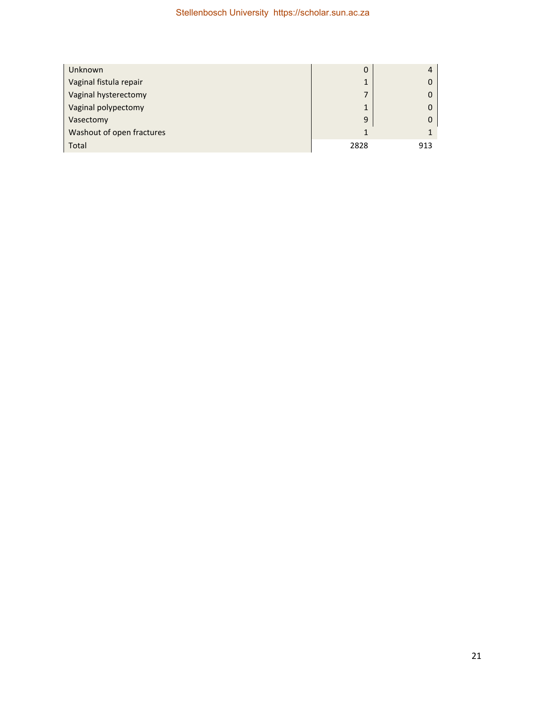| Unknown                   | 0    |     |
|---------------------------|------|-----|
| Vaginal fistula repair    | 1    |     |
| Vaginal hysterectomy      | 7    |     |
| Vaginal polypectomy       | 1    |     |
| Vasectomy                 | 9    |     |
| Washout of open fractures |      |     |
| Total                     | 2828 | 913 |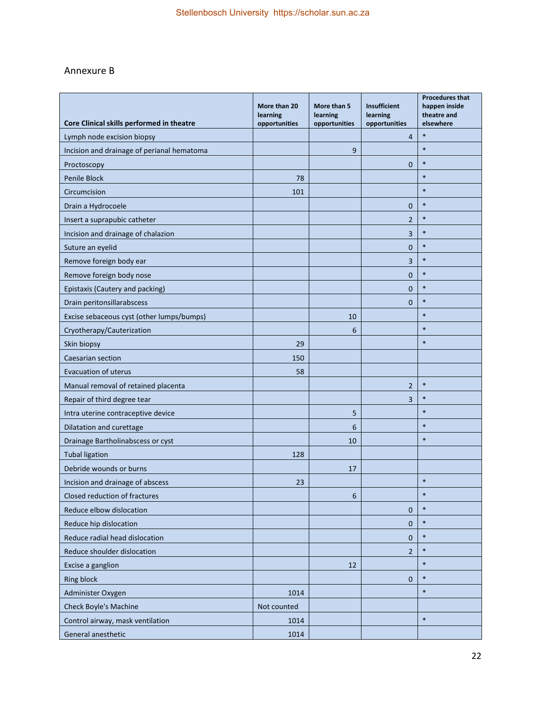# Annexure B

| Core Clinical skills performed in theatre           | More than 20<br>learning | More than 5<br>learning | <b>Insufficient</b><br>learning | <b>Procedures that</b><br>happen inside<br>theatre and |
|-----------------------------------------------------|--------------------------|-------------------------|---------------------------------|--------------------------------------------------------|
| Lymph node excision biopsy                          | opportunities            | opportunities           | opportunities<br>$\overline{4}$ | elsewhere<br>$\ast$                                    |
| Incision and drainage of perianal hematoma          |                          | 9                       |                                 | $\ast$                                                 |
|                                                     |                          |                         | $\overline{0}$                  | $\ast$                                                 |
| Proctoscopy<br>Penile Block                         | 78                       |                         |                                 | $\ast$                                                 |
| Circumcision                                        | 101                      |                         |                                 | $\ast$                                                 |
| Drain a Hydrocoele                                  |                          |                         | $\mathbf{0}$                    | $\ast$                                                 |
| Insert a suprapubic catheter                        |                          |                         | $\overline{2}$                  | $\ast$                                                 |
| Incision and drainage of chalazion                  |                          |                         | 3                               | $\ast$                                                 |
| Suture an eyelid                                    |                          |                         | $\mathbf 0$                     | $\ast$                                                 |
|                                                     |                          |                         | $\overline{3}$                  | $\ast$                                                 |
| Remove foreign body ear<br>Remove foreign body nose |                          |                         | $\mathbf{0}$                    | $\ast$                                                 |
|                                                     |                          |                         | $\overline{0}$                  | $\ast$                                                 |
| Epistaxis (Cautery and packing)                     |                          |                         | $\overline{0}$                  | $\ast$                                                 |
| Drain peritonsillarabscess                          |                          | 10                      |                                 | $\ast$                                                 |
| Excise sebaceous cyst (other lumps/bumps)           |                          | 6                       |                                 | $\ast$                                                 |
| Cryotherapy/Cauterization                           |                          |                         |                                 | $\ast$                                                 |
| Skin biopsy                                         | 29                       |                         |                                 |                                                        |
| Caesarian section                                   | 150                      |                         |                                 |                                                        |
| <b>Evacuation of uterus</b>                         | 58                       |                         |                                 | $\ast$                                                 |
| Manual removal of retained placenta                 |                          |                         | $\overline{2}$                  | $\ast$                                                 |
| Repair of third degree tear                         |                          |                         | 3                               | $\ast$                                                 |
| Intra uterine contraceptive device                  |                          | 5                       |                                 | $\ast$                                                 |
| Dilatation and curettage                            |                          | 6                       |                                 | $\ast$                                                 |
| Drainage Bartholinabscess or cyst                   |                          | 10                      |                                 |                                                        |
| <b>Tubal ligation</b>                               | 128                      |                         |                                 |                                                        |
| Debride wounds or burns                             |                          | 17                      |                                 | $\ast$                                                 |
| Incision and drainage of abscess                    | 23                       |                         |                                 | $\ast$                                                 |
| Closed reduction of fractures                       |                          | 6                       |                                 | $\ast$                                                 |
| Reduce elbow dislocation                            |                          |                         | $\pmb{0}$                       |                                                        |
| Reduce hip dislocation                              |                          |                         | $\pmb{0}$                       | $\ast$                                                 |
| Reduce radial head dislocation                      |                          |                         | $\mathbf{0}$                    | $\ast$                                                 |
| Reduce shoulder dislocation                         |                          |                         | $\overline{2}$                  | $\ast$                                                 |
| Excise a ganglion                                   |                          | 12                      |                                 | $\ast$                                                 |
| <b>Ring block</b>                                   |                          |                         | $\mathbf{0}$                    | $\ast$                                                 |
| Administer Oxygen                                   | 1014                     |                         |                                 | $\ast$                                                 |
| Check Boyle's Machine                               | Not counted              |                         |                                 |                                                        |
| Control airway, mask ventilation                    | 1014                     |                         |                                 | $\ast$                                                 |
| General anesthetic                                  | 1014                     |                         |                                 |                                                        |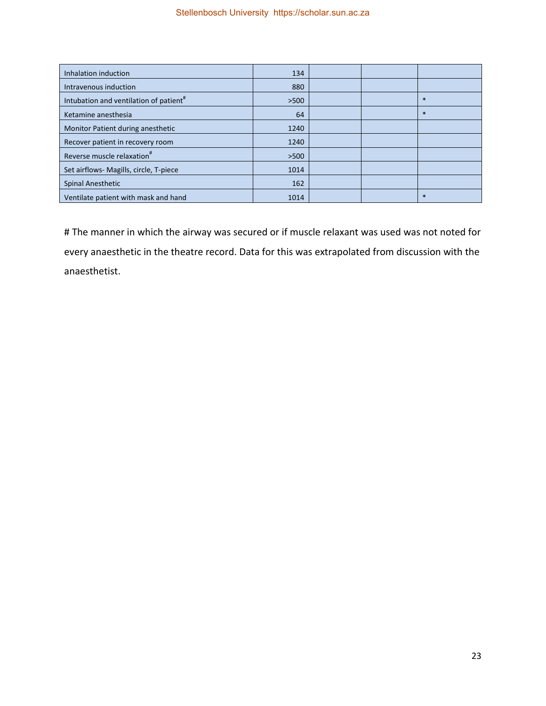| Inhalation induction                               | 134  |  |        |
|----------------------------------------------------|------|--|--------|
| Intravenous induction                              | 880  |  |        |
| Intubation and ventilation of patient <sup>#</sup> | >500 |  | $\ast$ |
| Ketamine anesthesia                                | 64   |  | $\ast$ |
| Monitor Patient during anesthetic                  | 1240 |  |        |
| Recover patient in recovery room                   | 1240 |  |        |
| Reverse muscle relaxation <sup>#</sup>             | >500 |  |        |
| Set airflows- Magills, circle, T-piece             | 1014 |  |        |
| <b>Spinal Anesthetic</b>                           | 162  |  |        |
| Ventilate patient with mask and hand               | 1014 |  | $\ast$ |

# The manner in which the airway was secured or if muscle relaxant was used was not noted for every anaesthetic in the theatre record. Data for this was extrapolated from discussion with the anaesthetist.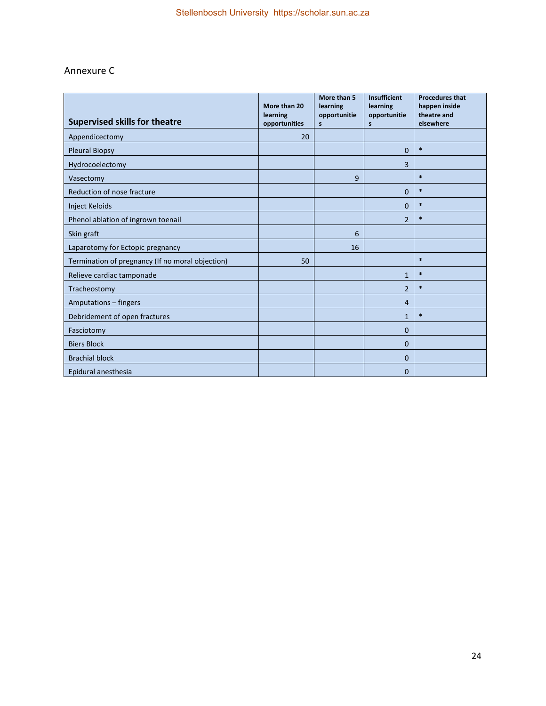# Annexure C

| <b>Supervised skills for theatre</b>             | More than 20<br>learning<br>opportunities | More than 5<br>learning<br>opportunitie<br>$\mathsf{s}$ | Insufficient<br>learning<br>opportunitie<br>s | <b>Procedures that</b><br>happen inside<br>theatre and<br>elsewhere |
|--------------------------------------------------|-------------------------------------------|---------------------------------------------------------|-----------------------------------------------|---------------------------------------------------------------------|
| Appendicectomy                                   | 20                                        |                                                         |                                               |                                                                     |
| <b>Pleural Biopsy</b>                            |                                           |                                                         | $\overline{0}$                                | $\ast$                                                              |
| Hydrocoelectomy                                  |                                           |                                                         | 3                                             |                                                                     |
| Vasectomy                                        |                                           | 9                                                       |                                               | $\ast$                                                              |
| Reduction of nose fracture                       |                                           |                                                         | 0                                             | $\ast$                                                              |
| <b>Inject Keloids</b>                            |                                           |                                                         | 0                                             | $\ast$                                                              |
| Phenol ablation of ingrown toenail               |                                           |                                                         | $\overline{2}$                                | $\ast$                                                              |
| Skin graft                                       |                                           | 6                                                       |                                               |                                                                     |
| Laparotomy for Ectopic pregnancy                 |                                           | 16                                                      |                                               |                                                                     |
| Termination of pregnancy (If no moral objection) | 50                                        |                                                         |                                               | $\ast$                                                              |
| Relieve cardiac tamponade                        |                                           |                                                         | $\mathbf{1}$                                  | $\ast$                                                              |
| Tracheostomy                                     |                                           |                                                         | $\overline{2}$                                | $\ast$                                                              |
| Amputations - fingers                            |                                           |                                                         | 4                                             |                                                                     |
| Debridement of open fractures                    |                                           |                                                         | $\mathbf{1}$                                  | $\ast$                                                              |
| Fasciotomy                                       |                                           |                                                         | $\Omega$                                      |                                                                     |
| <b>Biers Block</b>                               |                                           |                                                         | 0                                             |                                                                     |
| <b>Brachial block</b>                            |                                           |                                                         | 0                                             |                                                                     |
| Epidural anesthesia                              |                                           |                                                         | 0                                             |                                                                     |